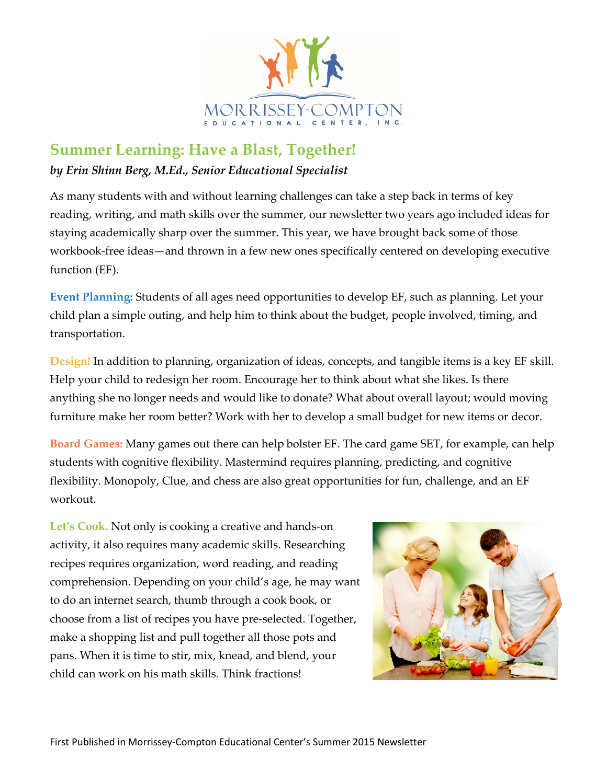

## **Summer Learning: Have a Blast, Together!**

## *by Erin Shinn Berg, M.Ed., Senior Educational Specialist*

As many students with and without learning challenges can take a step back in terms of key reading, writing, and math skills over the summer, our newsletter two years ago included ideas for staying academically sharp over the summer. This year, we have brought back some of those workbook-free ideas—and thrown in a few new ones specifically centered on developing executive function (EF).

**Event Planning:** Students of all ages need opportunities to develop EF, such as planning. Let your child plan a simple outing, and help him to think about the budget, people involved, timing, and transportation.

**Design!** In addition to planning, organization of ideas, concepts, and tangible items is a key EF skill. Help your child to redesign her room. Encourage her to think about what she likes. Is there anything she no longer needs and would like to donate? What about overall layout; would moving furniture make her room better? Work with her to develop a small budget for new items or decor.

**Board Games:** Many games out there can help bolster EF. The card game SET, for example, can help students with cognitive flexibility. Mastermind requires planning, predicting, and cognitive flexibility. Monopoly, Clue, and chess are also great opportunities for fun, challenge, and an EF workout.

Let's Cook. Not only is cooking a creative and hands-on activity, it also requires many academic skills. Researching recipes requires organization, word reading, and reading comprehension. Depending on your child's age, he may want to do an internet search, thumb through a cook book, or choose from a list of recipes you have pre-selected. Together, make a shopping list and pull together all those pots and pans. When it is time to stir, mix, knead, and blend, your child can work on his math skills. Think fractions!